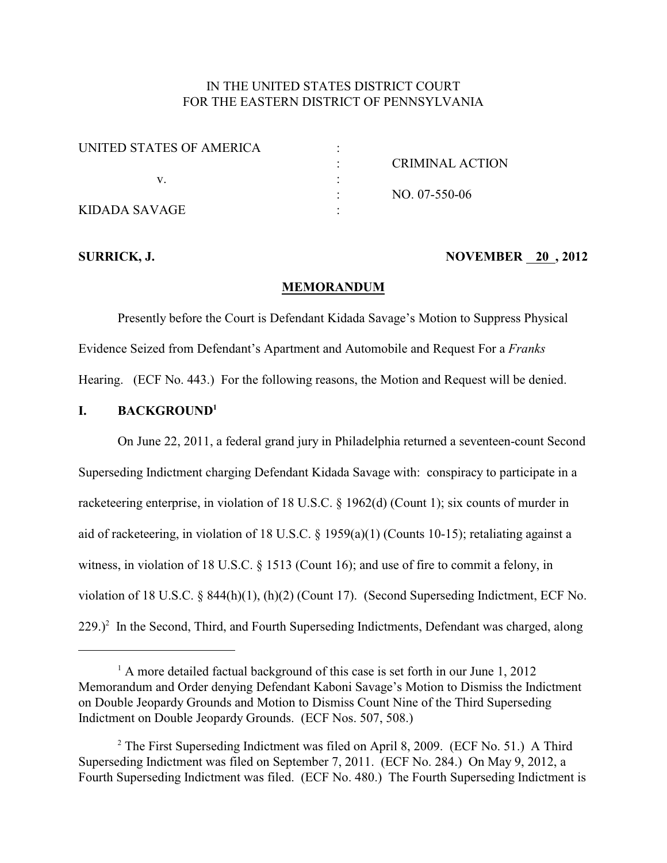## IN THE UNITED STATES DISTRICT COURT FOR THE EASTERN DISTRICT OF PENNSYLVANIA

| UNITED STATES OF AMERICA |                        |
|--------------------------|------------------------|
|                          | <b>CRIMINAL ACTION</b> |
|                          |                        |
|                          | $NO. 07-550-06$        |
| KIDADA SAVAGE            |                        |

#### **SURRICK, J. NOVEMBER 20, 2012**

#### **MEMORANDUM**

Presently before the Court is Defendant Kidada Savage's Motion to Suppress Physical Evidence Seized from Defendant's Apartment and Automobile and Request For a *Franks* Hearing. (ECF No. 443.) For the following reasons, the Motion and Request will be denied.

#### **I. BACKGROUND<sup>1</sup>**

On June 22, 2011, a federal grand jury in Philadelphia returned a seventeen-count Second Superseding Indictment charging Defendant Kidada Savage with: conspiracy to participate in a racketeering enterprise, in violation of 18 U.S.C. § 1962(d) (Count 1); six counts of murder in aid of racketeering, in violation of 18 U.S.C. § 1959(a)(1) (Counts 10-15); retaliating against a witness, in violation of 18 U.S.C. § 1513 (Count 16); and use of fire to commit a felony, in violation of 18 U.S.C. § 844(h)(1), (h)(2) (Count 17). (Second Superseding Indictment, ECF No.  $229.$ <sup>2</sup> In the Second, Third, and Fourth Superseding Indictments, Defendant was charged, along

 $^1$  A more detailed factual background of this case is set forth in our June 1, 2012 Memorandum and Order denying Defendant Kaboni Savage's Motion to Dismiss the Indictment on Double Jeopardy Grounds and Motion to Dismiss Count Nine of the Third Superseding Indictment on Double Jeopardy Grounds. (ECF Nos. 507, 508.)

<sup>&</sup>lt;sup>2</sup> The First Superseding Indictment was filed on April 8, 2009. (ECF No. 51.) A Third Superseding Indictment was filed on September 7, 2011. (ECF No. 284.) On May 9, 2012, a Fourth Superseding Indictment was filed. (ECF No. 480.) The Fourth Superseding Indictment is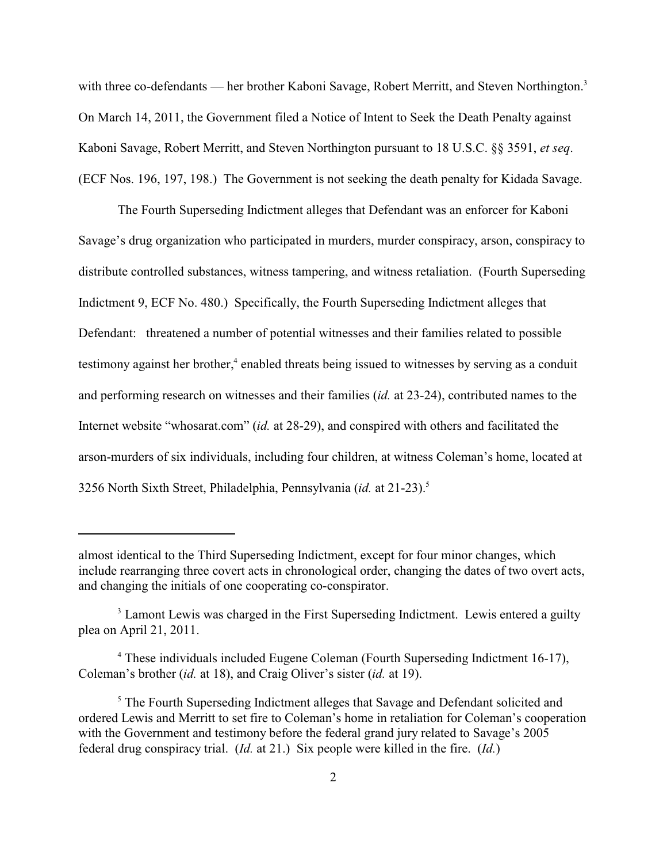with three co-defendants — her brother Kaboni Savage, Robert Merritt, and Steven Northington.<sup>3</sup> On March 14, 2011, the Government filed a Notice of Intent to Seek the Death Penalty against Kaboni Savage, Robert Merritt, and Steven Northington pursuant to 18 U.S.C. §§ 3591, *et seq*. (ECF Nos. 196, 197, 198.) The Government is not seeking the death penalty for Kidada Savage.

The Fourth Superseding Indictment alleges that Defendant was an enforcer for Kaboni Savage's drug organization who participated in murders, murder conspiracy, arson, conspiracy to distribute controlled substances, witness tampering, and witness retaliation. (Fourth Superseding Indictment 9, ECF No. 480.) Specifically, the Fourth Superseding Indictment alleges that Defendant: threatened a number of potential witnesses and their families related to possible testimony against her brother,<sup>4</sup> enabled threats being issued to witnesses by serving as a conduit and performing research on witnesses and their families (*id.* at 23-24), contributed names to the Internet website "whosarat.com" (*id.* at 28-29), and conspired with others and facilitated the arson-murders of six individuals, including four children, at witness Coleman's home, located at 3256 North Sixth Street, Philadelphia, Pennsylvania (*id.* at 21-23).<sup>5</sup>

almost identical to the Third Superseding Indictment, except for four minor changes, which include rearranging three covert acts in chronological order, changing the dates of two overt acts, and changing the initials of one cooperating co-conspirator.

<sup>&</sup>lt;sup>3</sup> Lamont Lewis was charged in the First Superseding Indictment. Lewis entered a guilty plea on April 21, 2011.

<sup>&</sup>lt;sup>4</sup> These individuals included Eugene Coleman (Fourth Superseding Indictment 16-17), Coleman's brother (*id.* at 18), and Craig Oliver's sister (*id.* at 19).

<sup>&</sup>lt;sup>5</sup> The Fourth Superseding Indictment alleges that Savage and Defendant solicited and ordered Lewis and Merritt to set fire to Coleman's home in retaliation for Coleman's cooperation with the Government and testimony before the federal grand jury related to Savage's 2005 federal drug conspiracy trial. (*Id.* at 21.) Six people were killed in the fire. (*Id.*)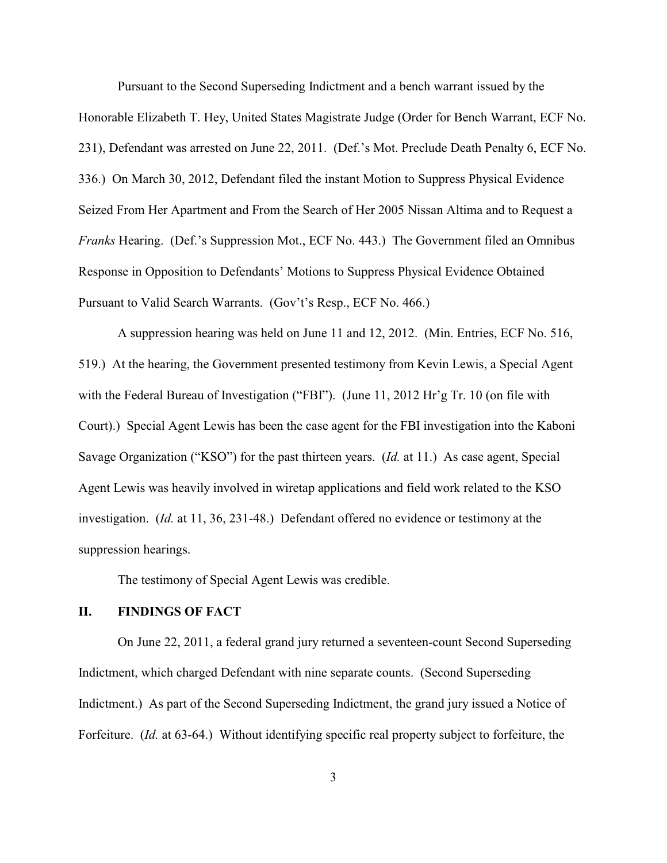Pursuant to the Second Superseding Indictment and a bench warrant issued by the Honorable Elizabeth T. Hey, United States Magistrate Judge (Order for Bench Warrant, ECF No. 231), Defendant was arrested on June 22, 2011. (Def.'s Mot. Preclude Death Penalty 6, ECF No. 336.) On March 30, 2012, Defendant filed the instant Motion to Suppress Physical Evidence Seized From Her Apartment and From the Search of Her 2005 Nissan Altima and to Request a *Franks* Hearing. (Def.'s Suppression Mot., ECF No. 443.) The Government filed an Omnibus Response in Opposition to Defendants' Motions to Suppress Physical Evidence Obtained Pursuant to Valid Search Warrants. (Gov't's Resp., ECF No. 466.)

A suppression hearing was held on June 11 and 12, 2012. (Min. Entries, ECF No. 516, 519.) At the hearing, the Government presented testimony from Kevin Lewis, a Special Agent with the Federal Bureau of Investigation ("FBI"). (June 11, 2012 Hr'g Tr. 10 (on file with Court).) Special Agent Lewis has been the case agent for the FBI investigation into the Kaboni Savage Organization ("KSO") for the past thirteen years. (*Id.* at 11.) As case agent, Special Agent Lewis was heavily involved in wiretap applications and field work related to the KSO investigation. (*Id.* at 11, 36, 231-48.) Defendant offered no evidence or testimony at the suppression hearings.

The testimony of Special Agent Lewis was credible.

### **II. FINDINGS OF FACT**

On June 22, 2011, a federal grand jury returned a seventeen-count Second Superseding Indictment, which charged Defendant with nine separate counts. (Second Superseding Indictment.) As part of the Second Superseding Indictment, the grand jury issued a Notice of Forfeiture. (*Id.* at 63-64.) Without identifying specific real property subject to forfeiture, the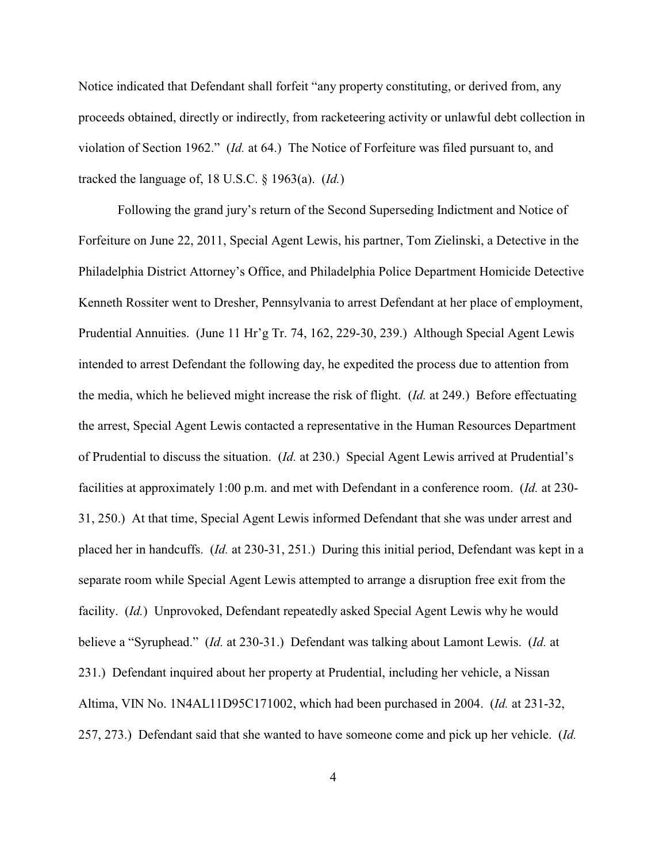Notice indicated that Defendant shall forfeit "any property constituting, or derived from, any proceeds obtained, directly or indirectly, from racketeering activity or unlawful debt collection in violation of Section 1962." (*Id.* at 64.) The Notice of Forfeiture was filed pursuant to, and tracked the language of, 18 U.S.C. § 1963(a). (*Id.*)

Following the grand jury's return of the Second Superseding Indictment and Notice of Forfeiture on June 22, 2011, Special Agent Lewis, his partner, Tom Zielinski, a Detective in the Philadelphia District Attorney's Office, and Philadelphia Police Department Homicide Detective Kenneth Rossiter went to Dresher, Pennsylvania to arrest Defendant at her place of employment, Prudential Annuities. (June 11 Hr'g Tr. 74, 162, 229-30, 239.) Although Special Agent Lewis intended to arrest Defendant the following day, he expedited the process due to attention from the media, which he believed might increase the risk of flight. (*Id.* at 249.) Before effectuating the arrest, Special Agent Lewis contacted a representative in the Human Resources Department of Prudential to discuss the situation. (*Id.* at 230.) Special Agent Lewis arrived at Prudential's facilities at approximately 1:00 p.m. and met with Defendant in a conference room. (*Id.* at 230- 31, 250.) At that time, Special Agent Lewis informed Defendant that she was under arrest and placed her in handcuffs. (*Id.* at 230-31, 251.) During this initial period, Defendant was kept in a separate room while Special Agent Lewis attempted to arrange a disruption free exit from the facility. (*Id.*) Unprovoked, Defendant repeatedly asked Special Agent Lewis why he would believe a "Syruphead." (*Id.* at 230-31.) Defendant was talking about Lamont Lewis. (*Id.* at 231.) Defendant inquired about her property at Prudential, including her vehicle, a Nissan Altima, VIN No. 1N4AL11D95C171002, which had been purchased in 2004. (*Id.* at 231-32, 257, 273.) Defendant said that she wanted to have someone come and pick up her vehicle. (*Id.*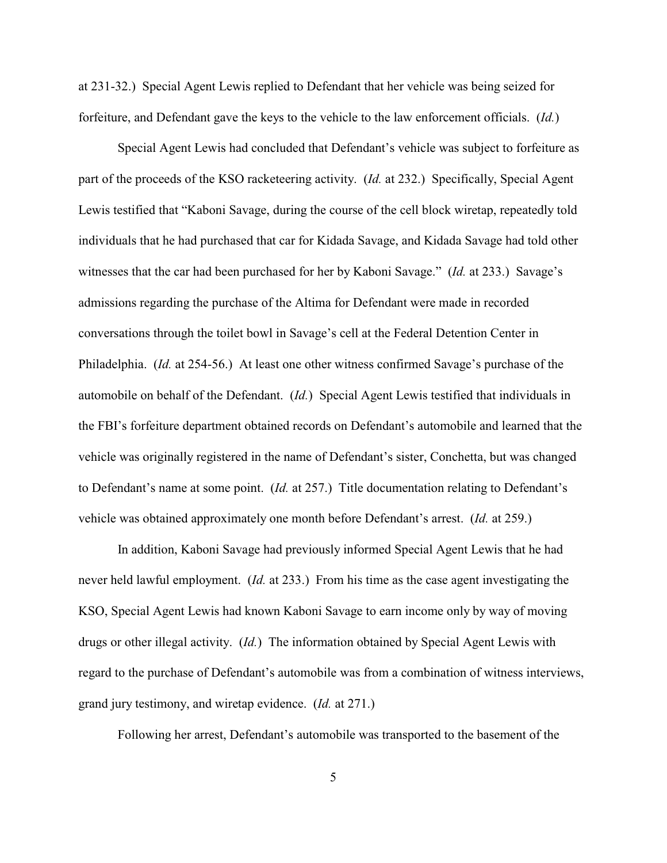at 231-32.) Special Agent Lewis replied to Defendant that her vehicle was being seized for forfeiture, and Defendant gave the keys to the vehicle to the law enforcement officials. (*Id.*)

Special Agent Lewis had concluded that Defendant's vehicle was subject to forfeiture as part of the proceeds of the KSO racketeering activity. (*Id.* at 232.) Specifically, Special Agent Lewis testified that "Kaboni Savage, during the course of the cell block wiretap, repeatedly told individuals that he had purchased that car for Kidada Savage, and Kidada Savage had told other witnesses that the car had been purchased for her by Kaboni Savage." (*Id.* at 233.) Savage's admissions regarding the purchase of the Altima for Defendant were made in recorded conversations through the toilet bowl in Savage's cell at the Federal Detention Center in Philadelphia. (*Id.* at 254-56.) At least one other witness confirmed Savage's purchase of the automobile on behalf of the Defendant. (*Id.*) Special Agent Lewis testified that individuals in the FBI's forfeiture department obtained records on Defendant's automobile and learned that the vehicle was originally registered in the name of Defendant's sister, Conchetta, but was changed to Defendant's name at some point. (*Id.* at 257.) Title documentation relating to Defendant's vehicle was obtained approximately one month before Defendant's arrest. (*Id.* at 259.)

In addition, Kaboni Savage had previously informed Special Agent Lewis that he had never held lawful employment. (*Id.* at 233.) From his time as the case agent investigating the KSO, Special Agent Lewis had known Kaboni Savage to earn income only by way of moving drugs or other illegal activity. (*Id.*) The information obtained by Special Agent Lewis with regard to the purchase of Defendant's automobile was from a combination of witness interviews, grand jury testimony, and wiretap evidence. (*Id.* at 271.)

Following her arrest, Defendant's automobile was transported to the basement of the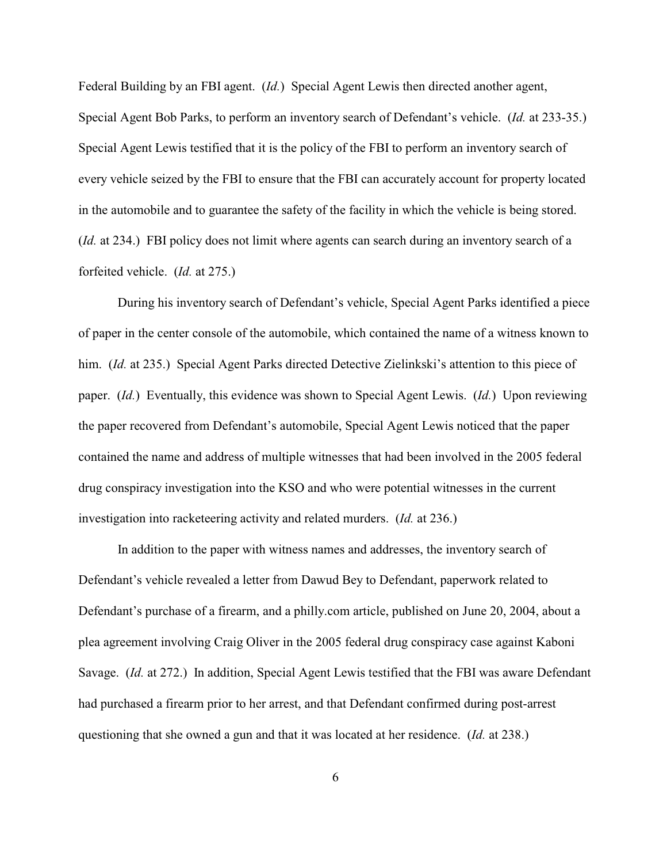Federal Building by an FBI agent. (*Id.*) Special Agent Lewis then directed another agent, Special Agent Bob Parks, to perform an inventory search of Defendant's vehicle. (*Id.* at 233-35.) Special Agent Lewis testified that it is the policy of the FBI to perform an inventory search of every vehicle seized by the FBI to ensure that the FBI can accurately account for property located in the automobile and to guarantee the safety of the facility in which the vehicle is being stored. (*Id.* at 234.) FBI policy does not limit where agents can search during an inventory search of a forfeited vehicle. (*Id.* at 275.)

During his inventory search of Defendant's vehicle, Special Agent Parks identified a piece of paper in the center console of the automobile, which contained the name of a witness known to him. *(Id.* at 235.) Special Agent Parks directed Detective Zielinkski's attention to this piece of paper. (*Id.*) Eventually, this evidence was shown to Special Agent Lewis. (*Id.*) Upon reviewing the paper recovered from Defendant's automobile, Special Agent Lewis noticed that the paper contained the name and address of multiple witnesses that had been involved in the 2005 federal drug conspiracy investigation into the KSO and who were potential witnesses in the current investigation into racketeering activity and related murders. (*Id.* at 236.)

In addition to the paper with witness names and addresses, the inventory search of Defendant's vehicle revealed a letter from Dawud Bey to Defendant, paperwork related to Defendant's purchase of a firearm, and a philly.com article, published on June 20, 2004, about a plea agreement involving Craig Oliver in the 2005 federal drug conspiracy case against Kaboni Savage. (*Id.* at 272.) In addition, Special Agent Lewis testified that the FBI was aware Defendant had purchased a firearm prior to her arrest, and that Defendant confirmed during post-arrest questioning that she owned a gun and that it was located at her residence. (*Id.* at 238.)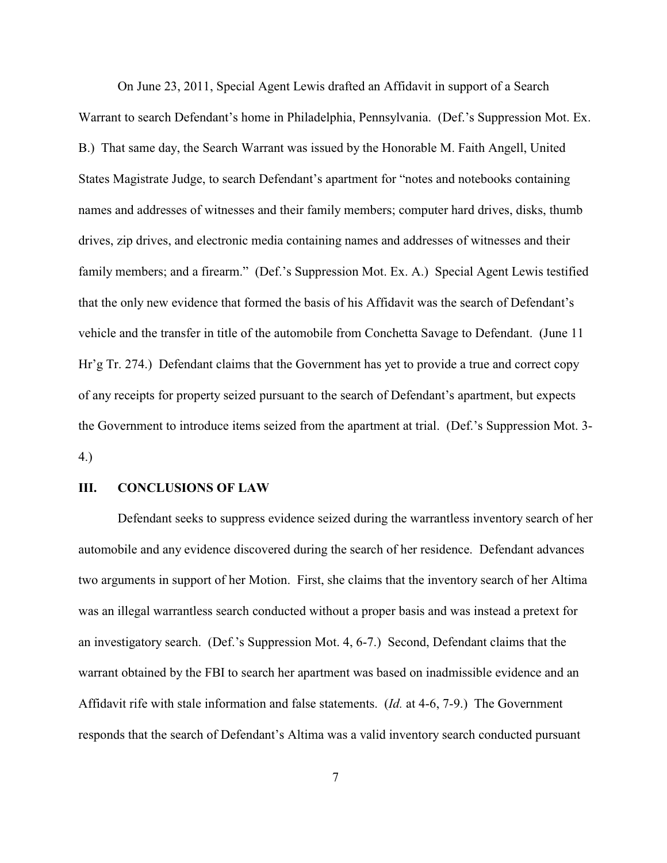On June 23, 2011, Special Agent Lewis drafted an Affidavit in support of a Search Warrant to search Defendant's home in Philadelphia, Pennsylvania. (Def.'s Suppression Mot. Ex. B.) That same day, the Search Warrant was issued by the Honorable M. Faith Angell, United States Magistrate Judge, to search Defendant's apartment for "notes and notebooks containing names and addresses of witnesses and their family members; computer hard drives, disks, thumb drives, zip drives, and electronic media containing names and addresses of witnesses and their family members; and a firearm." (Def.'s Suppression Mot. Ex. A.) Special Agent Lewis testified that the only new evidence that formed the basis of his Affidavit was the search of Defendant's vehicle and the transfer in title of the automobile from Conchetta Savage to Defendant. (June 11 Hr'g Tr. 274.) Defendant claims that the Government has yet to provide a true and correct copy of any receipts for property seized pursuant to the search of Defendant's apartment, but expects the Government to introduce items seized from the apartment at trial. (Def.'s Suppression Mot. 3- 4.)

#### **III. CONCLUSIONS OF LAW**

Defendant seeks to suppress evidence seized during the warrantless inventory search of her automobile and any evidence discovered during the search of her residence. Defendant advances two arguments in support of her Motion. First, she claims that the inventory search of her Altima was an illegal warrantless search conducted without a proper basis and was instead a pretext for an investigatory search. (Def.'s Suppression Mot. 4, 6-7.) Second, Defendant claims that the warrant obtained by the FBI to search her apartment was based on inadmissible evidence and an Affidavit rife with stale information and false statements. (*Id.* at 4-6, 7-9.) The Government responds that the search of Defendant's Altima was a valid inventory search conducted pursuant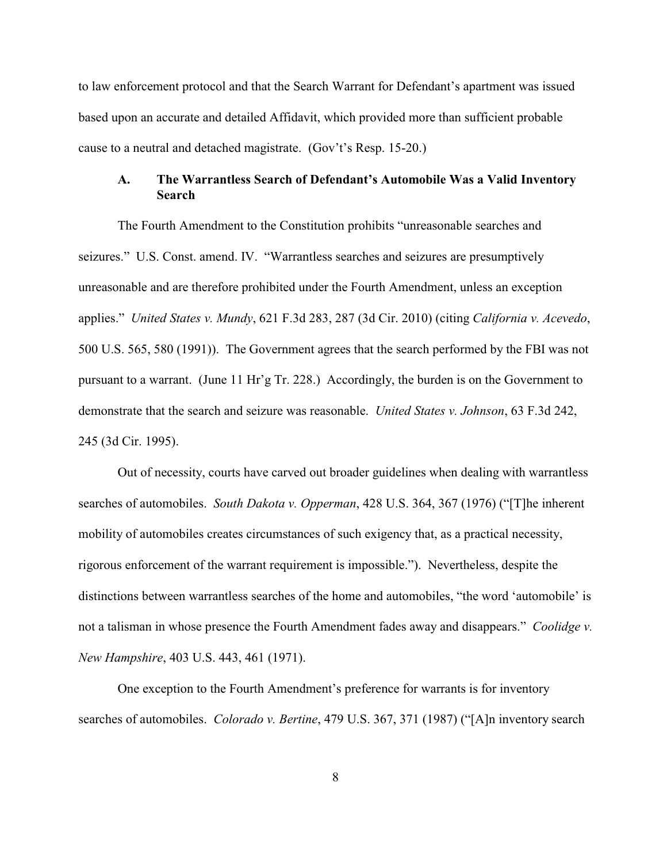to law enforcement protocol and that the Search Warrant for Defendant's apartment was issued based upon an accurate and detailed Affidavit, which provided more than sufficient probable cause to a neutral and detached magistrate. (Gov't's Resp. 15-20.)

## **A. The Warrantless Search of Defendant's Automobile Was a Valid Inventory Search**

The Fourth Amendment to the Constitution prohibits "unreasonable searches and seizures." U.S. Const. amend. IV. "Warrantless searches and seizures are presumptively unreasonable and are therefore prohibited under the Fourth Amendment, unless an exception applies." *United States v. Mundy*, 621 F.3d 283, 287 (3d Cir. 2010) (citing *California v. Acevedo*, 500 U.S. 565, 580 (1991)). The Government agrees that the search performed by the FBI was not pursuant to a warrant. (June 11 Hr'g Tr. 228.) Accordingly, the burden is on the Government to demonstrate that the search and seizure was reasonable. *United States v. Johnson*, 63 F.3d 242, 245 (3d Cir. 1995).

Out of necessity, courts have carved out broader guidelines when dealing with warrantless searches of automobiles. *South Dakota v. Opperman*, 428 U.S. 364, 367 (1976) ("[T]he inherent mobility of automobiles creates circumstances of such exigency that, as a practical necessity, rigorous enforcement of the warrant requirement is impossible."). Nevertheless, despite the distinctions between warrantless searches of the home and automobiles, "the word 'automobile' is not a talisman in whose presence the Fourth Amendment fades away and disappears." *Coolidge v. New Hampshire*, 403 U.S. 443, 461 (1971).

One exception to the Fourth Amendment's preference for warrants is for inventory searches of automobiles. *Colorado v. Bertine*, 479 U.S. 367, 371 (1987) ("[A]n inventory search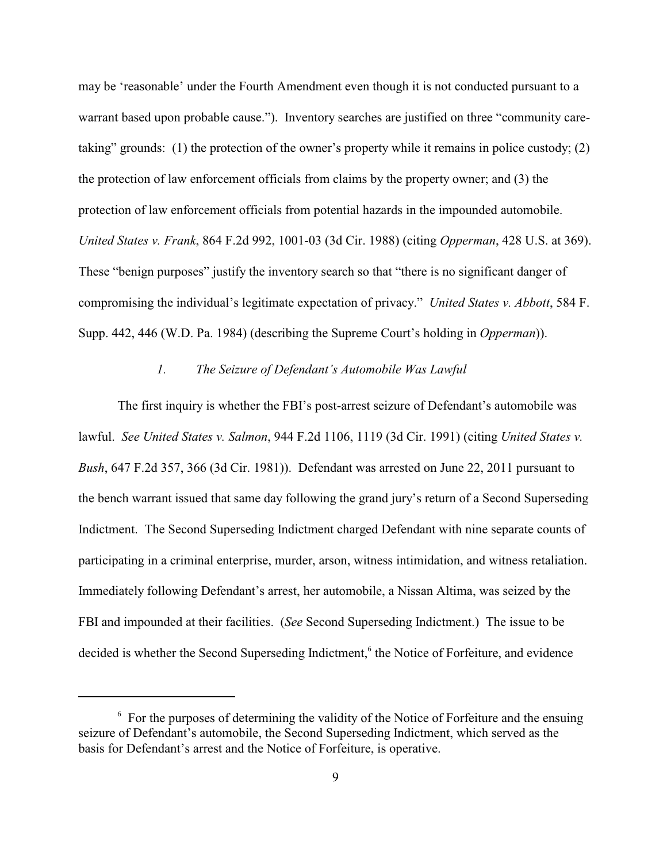may be 'reasonable' under the Fourth Amendment even though it is not conducted pursuant to a warrant based upon probable cause."). Inventory searches are justified on three "community caretaking" grounds: (1) the protection of the owner's property while it remains in police custody; (2) the protection of law enforcement officials from claims by the property owner; and (3) the protection of law enforcement officials from potential hazards in the impounded automobile. *United States v. Frank*, 864 F.2d 992, 1001-03 (3d Cir. 1988) (citing *Opperman*, 428 U.S. at 369). These "benign purposes" justify the inventory search so that "there is no significant danger of compromising the individual's legitimate expectation of privacy." *United States v. Abbott*, 584 F. Supp. 442, 446 (W.D. Pa. 1984) (describing the Supreme Court's holding in *Opperman*)).

#### *1. The Seizure of Defendant's Automobile Was Lawful*

The first inquiry is whether the FBI's post-arrest seizure of Defendant's automobile was lawful. *See United States v. Salmon*, 944 F.2d 1106, 1119 (3d Cir. 1991) (citing *United States v. Bush*, 647 F.2d 357, 366 (3d Cir. 1981)). Defendant was arrested on June 22, 2011 pursuant to the bench warrant issued that same day following the grand jury's return of a Second Superseding Indictment. The Second Superseding Indictment charged Defendant with nine separate counts of participating in a criminal enterprise, murder, arson, witness intimidation, and witness retaliation. Immediately following Defendant's arrest, her automobile, a Nissan Altima, was seized by the FBI and impounded at their facilities. (*See* Second Superseding Indictment.) The issue to be decided is whether the Second Superseding Indictment,<sup>6</sup> the Notice of Forfeiture, and evidence

 $6\,$  For the purposes of determining the validity of the Notice of Forfeiture and the ensuing seizure of Defendant's automobile, the Second Superseding Indictment, which served as the basis for Defendant's arrest and the Notice of Forfeiture, is operative.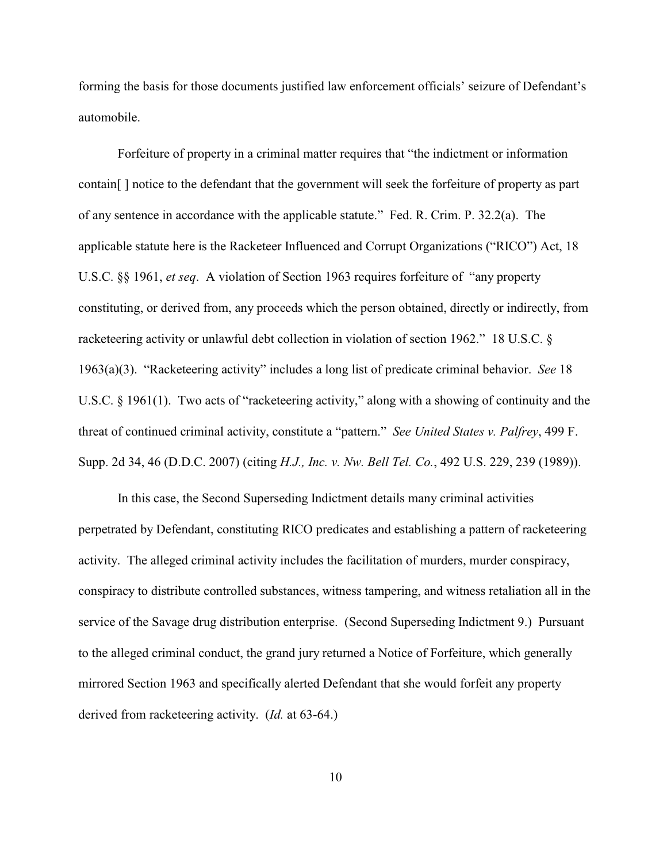forming the basis for those documents justified law enforcement officials' seizure of Defendant's automobile.

Forfeiture of property in a criminal matter requires that "the indictment or information contain[ ] notice to the defendant that the government will seek the forfeiture of property as part of any sentence in accordance with the applicable statute." Fed. R. Crim. P. 32.2(a). The applicable statute here is the Racketeer Influenced and Corrupt Organizations ("RICO") Act, 18 U.S.C. §§ 1961, *et seq*. A violation of Section 1963 requires forfeiture of "any property constituting, or derived from, any proceeds which the person obtained, directly or indirectly, from racketeering activity or unlawful debt collection in violation of section 1962." 18 U.S.C. § 1963(a)(3). "Racketeering activity" includes a long list of predicate criminal behavior. *See* 18 U.S.C. § 1961(1). Two acts of "racketeering activity," along with a showing of continuity and the threat of continued criminal activity, constitute a "pattern." *See United States v. Palfrey*, 499 F. Supp. 2d 34, 46 (D.D.C. 2007) (citing *H.J., Inc. v. Nw. Bell Tel. Co.*, 492 U.S. 229, 239 (1989)).

In this case, the Second Superseding Indictment details many criminal activities perpetrated by Defendant, constituting RICO predicates and establishing a pattern of racketeering activity. The alleged criminal activity includes the facilitation of murders, murder conspiracy, conspiracy to distribute controlled substances, witness tampering, and witness retaliation all in the service of the Savage drug distribution enterprise. (Second Superseding Indictment 9.) Pursuant to the alleged criminal conduct, the grand jury returned a Notice of Forfeiture, which generally mirrored Section 1963 and specifically alerted Defendant that she would forfeit any property derived from racketeering activity. (*Id.* at 63-64.)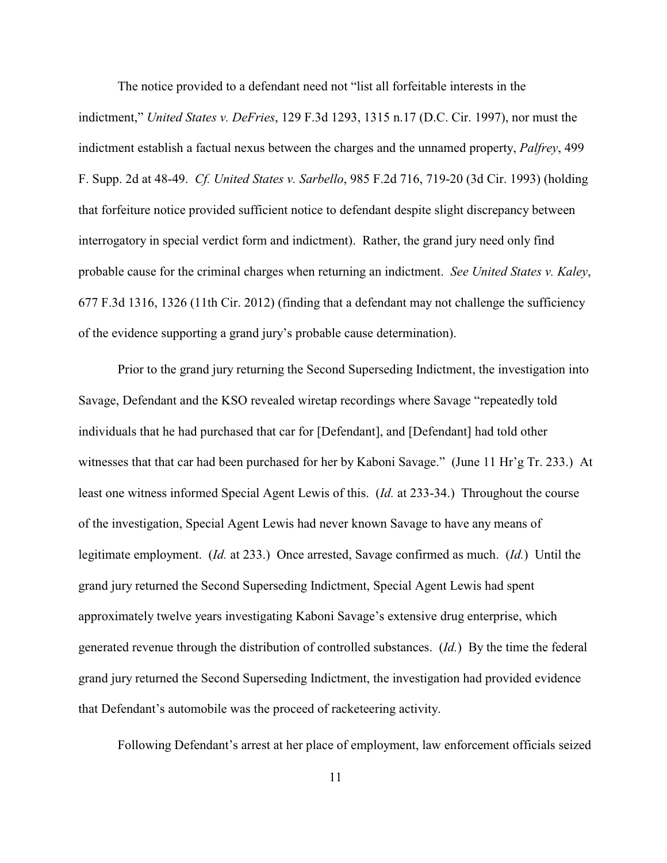The notice provided to a defendant need not "list all forfeitable interests in the indictment," *United States v. DeFries*, 129 F.3d 1293, 1315 n.17 (D.C. Cir. 1997), nor must the indictment establish a factual nexus between the charges and the unnamed property, *Palfrey*, 499 F. Supp. 2d at 48-49. *Cf. United States v. Sarbello*, 985 F.2d 716, 719-20 (3d Cir. 1993) (holding that forfeiture notice provided sufficient notice to defendant despite slight discrepancy between interrogatory in special verdict form and indictment). Rather, the grand jury need only find probable cause for the criminal charges when returning an indictment. *See United States v. Kaley*, 677 F.3d 1316, 1326 (11th Cir. 2012) (finding that a defendant may not challenge the sufficiency of the evidence supporting a grand jury's probable cause determination).

Prior to the grand jury returning the Second Superseding Indictment, the investigation into Savage, Defendant and the KSO revealed wiretap recordings where Savage "repeatedly told individuals that he had purchased that car for [Defendant], and [Defendant] had told other witnesses that that car had been purchased for her by Kaboni Savage." (June 11 Hr'g Tr. 233.) At least one witness informed Special Agent Lewis of this. (*Id.* at 233-34.) Throughout the course of the investigation, Special Agent Lewis had never known Savage to have any means of legitimate employment. (*Id.* at 233.) Once arrested, Savage confirmed as much. (*Id.*) Until the grand jury returned the Second Superseding Indictment, Special Agent Lewis had spent approximately twelve years investigating Kaboni Savage's extensive drug enterprise, which generated revenue through the distribution of controlled substances. (*Id.*) By the time the federal grand jury returned the Second Superseding Indictment, the investigation had provided evidence that Defendant's automobile was the proceed of racketeering activity.

Following Defendant's arrest at her place of employment, law enforcement officials seized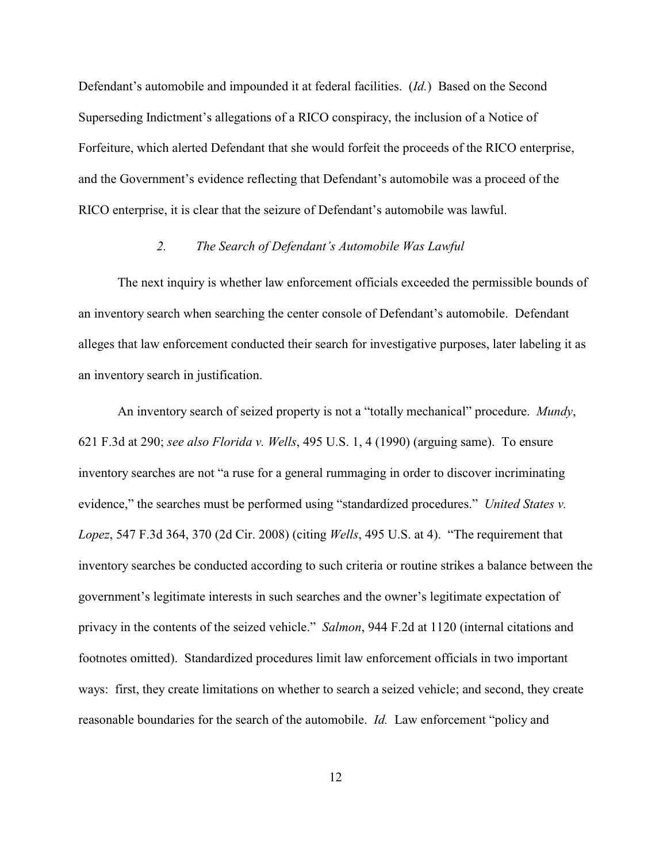Defendant's automobile and impounded it at federal facilities. (*Id.*) Based on the Second Superseding Indictment's allegations of a RICO conspiracy, the inclusion of a Notice of Forfeiture, which alerted Defendant that she would forfeit the proceeds of the RICO enterprise, and the Government's evidence reflecting that Defendant's automobile was a proceed of the RICO enterprise, it is clear that the seizure of Defendant's automobile was lawful.

## *2. The Search of Defendant's Automobile Was Lawful*

The next inquiry is whether law enforcement officials exceeded the permissible bounds of an inventory search when searching the center console of Defendant's automobile. Defendant alleges that law enforcement conducted their search for investigative purposes, later labeling it as an inventory search in justification.

An inventory search of seized property is not a "totally mechanical" procedure. *Mundy*, 621 F.3d at 290; *see also Florida v. Wells*, 495 U.S. 1, 4 (1990) (arguing same). To ensure inventory searches are not "a ruse for a general rummaging in order to discover incriminating evidence," the searches must be performed using "standardized procedures." *United States v. Lopez*, 547 F.3d 364, 370 (2d Cir. 2008) (citing *Wells*, 495 U.S. at 4). "The requirement that inventory searches be conducted according to such criteria or routine strikes a balance between the government's legitimate interests in such searches and the owner's legitimate expectation of privacy in the contents of the seized vehicle." *Salmon*, 944 F.2d at 1120 (internal citations and footnotes omitted). Standardized procedures limit law enforcement officials in two important ways: first, they create limitations on whether to search a seized vehicle; and second, they create reasonable boundaries for the search of the automobile. *Id.* Law enforcement "policy and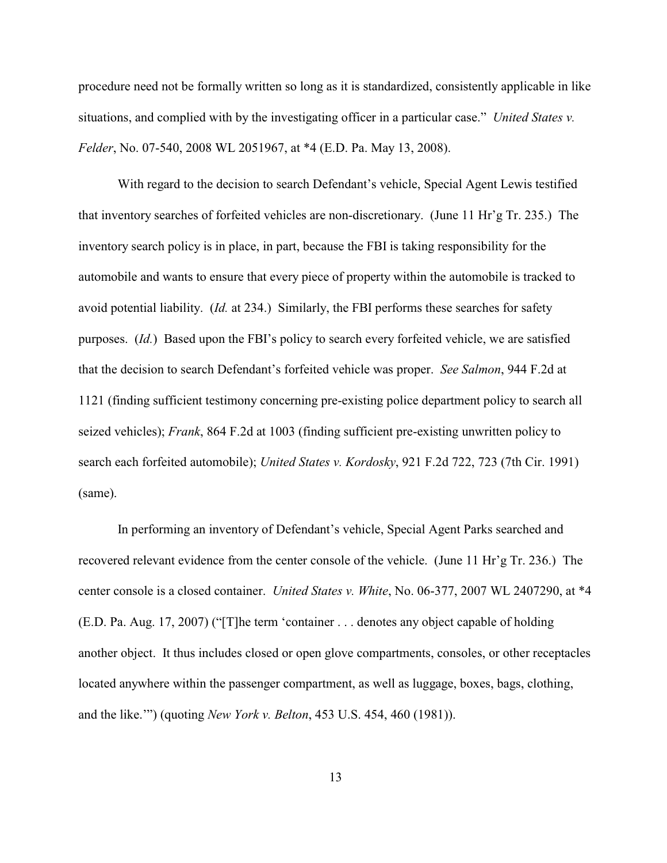procedure need not be formally written so long as it is standardized, consistently applicable in like situations, and complied with by the investigating officer in a particular case." *United States v. Felder*, No. 07-540, 2008 WL 2051967, at \*4 (E.D. Pa. May 13, 2008).

With regard to the decision to search Defendant's vehicle, Special Agent Lewis testified that inventory searches of forfeited vehicles are non-discretionary. (June 11 Hr'g Tr. 235.) The inventory search policy is in place, in part, because the FBI is taking responsibility for the automobile and wants to ensure that every piece of property within the automobile is tracked to avoid potential liability. (*Id.* at 234.) Similarly, the FBI performs these searches for safety purposes. (*Id.*) Based upon the FBI's policy to search every forfeited vehicle, we are satisfied that the decision to search Defendant's forfeited vehicle was proper. *See Salmon*, 944 F.2d at 1121 (finding sufficient testimony concerning pre-existing police department policy to search all seized vehicles); *Frank*, 864 F.2d at 1003 (finding sufficient pre-existing unwritten policy to search each forfeited automobile); *United States v. Kordosky*, 921 F.2d 722, 723 (7th Cir. 1991) (same).

In performing an inventory of Defendant's vehicle, Special Agent Parks searched and recovered relevant evidence from the center console of the vehicle. (June 11 Hr'g Tr. 236.) The center console is a closed container. *United States v. White*, No. 06-377, 2007 WL 2407290, at \*4 (E.D. Pa. Aug. 17, 2007) ("[T]he term 'container . . . denotes any object capable of holding another object. It thus includes closed or open glove compartments, consoles, or other receptacles located anywhere within the passenger compartment, as well as luggage, boxes, bags, clothing, and the like.'") (quoting *New York v. Belton*, 453 U.S. 454, 460 (1981)).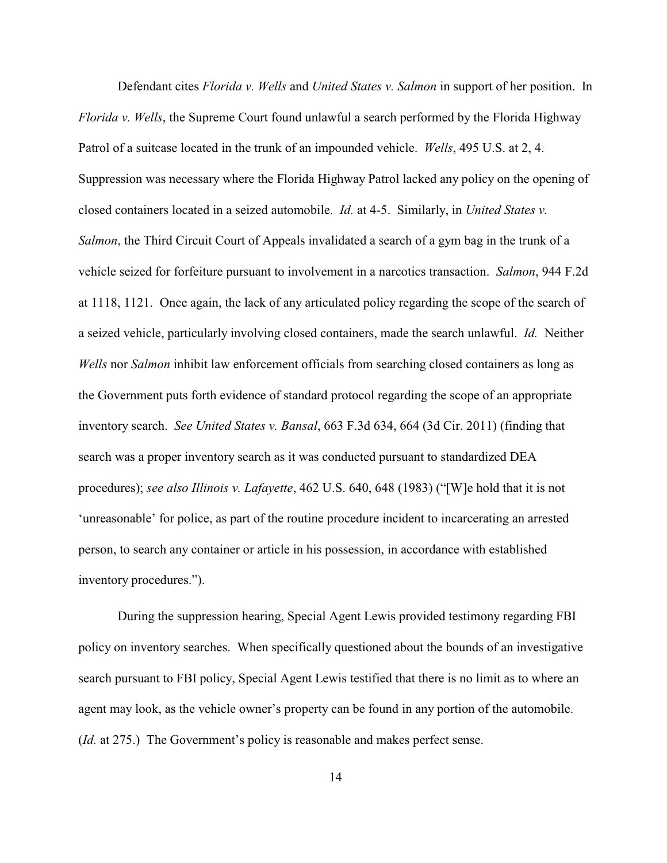Defendant cites *Florida v. Wells* and *United States v. Salmon* in support of her position. In *Florida v. Wells*, the Supreme Court found unlawful a search performed by the Florida Highway Patrol of a suitcase located in the trunk of an impounded vehicle. *Wells*, 495 U.S. at 2, 4. Suppression was necessary where the Florida Highway Patrol lacked any policy on the opening of closed containers located in a seized automobile. *Id.* at 4-5. Similarly, in *United States v. Salmon*, the Third Circuit Court of Appeals invalidated a search of a gym bag in the trunk of a vehicle seized for forfeiture pursuant to involvement in a narcotics transaction. *Salmon*, 944 F.2d at 1118, 1121. Once again, the lack of any articulated policy regarding the scope of the search of a seized vehicle, particularly involving closed containers, made the search unlawful. *Id.* Neither *Wells* nor *Salmon* inhibit law enforcement officials from searching closed containers as long as the Government puts forth evidence of standard protocol regarding the scope of an appropriate inventory search. *See United States v. Bansal*, 663 F.3d 634, 664 (3d Cir. 2011) (finding that search was a proper inventory search as it was conducted pursuant to standardized DEA procedures); *see also Illinois v. Lafayette*, 462 U.S. 640, 648 (1983) ("[W]e hold that it is not 'unreasonable' for police, as part of the routine procedure incident to incarcerating an arrested person, to search any container or article in his possession, in accordance with established inventory procedures.").

During the suppression hearing, Special Agent Lewis provided testimony regarding FBI policy on inventory searches. When specifically questioned about the bounds of an investigative search pursuant to FBI policy, Special Agent Lewis testified that there is no limit as to where an agent may look, as the vehicle owner's property can be found in any portion of the automobile. (*Id.* at 275.) The Government's policy is reasonable and makes perfect sense.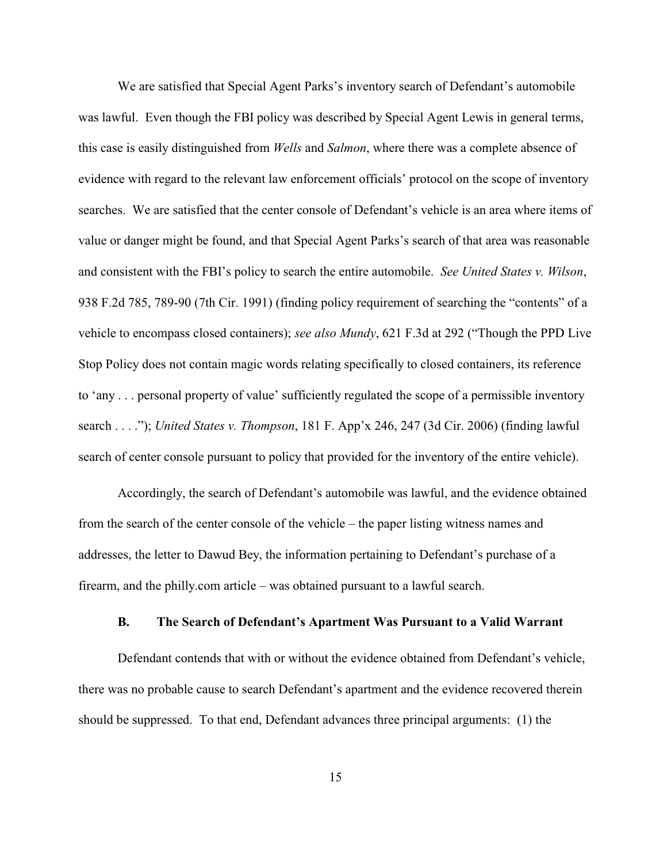We are satisfied that Special Agent Parks's inventory search of Defendant's automobile was lawful. Even though the FBI policy was described by Special Agent Lewis in general terms, this case is easily distinguished from *Wells* and *Salmon*, where there was a complete absence of evidence with regard to the relevant law enforcement officials' protocol on the scope of inventory searches. We are satisfied that the center console of Defendant's vehicle is an area where items of value or danger might be found, and that Special Agent Parks's search of that area was reasonable and consistent with the FBI's policy to search the entire automobile. *See United States v. Wilson*, 938 F.2d 785, 789-90 (7th Cir. 1991) (finding policy requirement of searching the "contents" of a vehicle to encompass closed containers); *see also Mundy*, 621 F.3d at 292 ("Though the PPD Live Stop Policy does not contain magic words relating specifically to closed containers, its reference to 'any . . . personal property of value' sufficiently regulated the scope of a permissible inventory search . . . ."); *United States v. Thompson*, 181 F. App'x 246, 247 (3d Cir. 2006) (finding lawful search of center console pursuant to policy that provided for the inventory of the entire vehicle).

Accordingly, the search of Defendant's automobile was lawful, and the evidence obtained from the search of the center console of the vehicle – the paper listing witness names and addresses, the letter to Dawud Bey, the information pertaining to Defendant's purchase of a firearm, and the philly.com article – was obtained pursuant to a lawful search.

#### **B. The Search of Defendant's Apartment Was Pursuant to a Valid Warrant**

Defendant contends that with or without the evidence obtained from Defendant's vehicle, there was no probable cause to search Defendant's apartment and the evidence recovered therein should be suppressed. To that end, Defendant advances three principal arguments: (1) the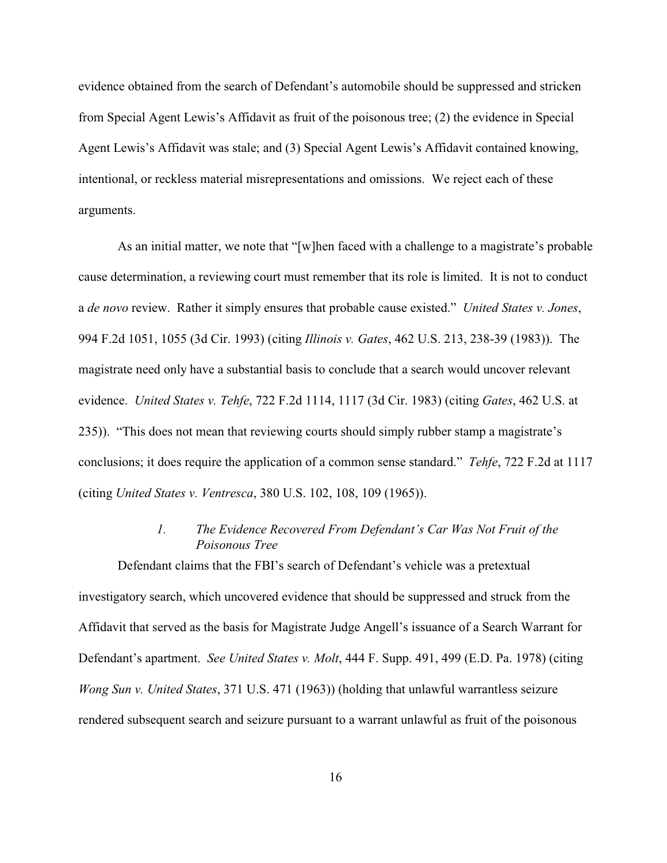evidence obtained from the search of Defendant's automobile should be suppressed and stricken from Special Agent Lewis's Affidavit as fruit of the poisonous tree; (2) the evidence in Special Agent Lewis's Affidavit was stale; and (3) Special Agent Lewis's Affidavit contained knowing, intentional, or reckless material misrepresentations and omissions. We reject each of these arguments.

As an initial matter, we note that "[w]hen faced with a challenge to a magistrate's probable cause determination, a reviewing court must remember that its role is limited. It is not to conduct a *de novo* review. Rather it simply ensures that probable cause existed." *United States v. Jones*, 994 F.2d 1051, 1055 (3d Cir. 1993) (citing *Illinois v. Gates*, 462 U.S. 213, 238-39 (1983)). The magistrate need only have a substantial basis to conclude that a search would uncover relevant evidence. *United States v. Tehfe*, 722 F.2d 1114, 1117 (3d Cir. 1983) (citing *Gates*, 462 U.S. at 235)). "This does not mean that reviewing courts should simply rubber stamp a magistrate's conclusions; it does require the application of a common sense standard." *Tehfe*, 722 F.2d at 1117 (citing *United States v. Ventresca*, 380 U.S. 102, 108, 109 (1965)).

## *1. The Evidence Recovered From Defendant's Car Was Not Fruit of the Poisonous Tree*

Defendant claims that the FBI's search of Defendant's vehicle was a pretextual investigatory search, which uncovered evidence that should be suppressed and struck from the Affidavit that served as the basis for Magistrate Judge Angell's issuance of a Search Warrant for Defendant's apartment. *See United States v. Molt*, 444 F. Supp. 491, 499 (E.D. Pa. 1978) (citing *Wong Sun v. United States*, 371 U.S. 471 (1963)) (holding that unlawful warrantless seizure rendered subsequent search and seizure pursuant to a warrant unlawful as fruit of the poisonous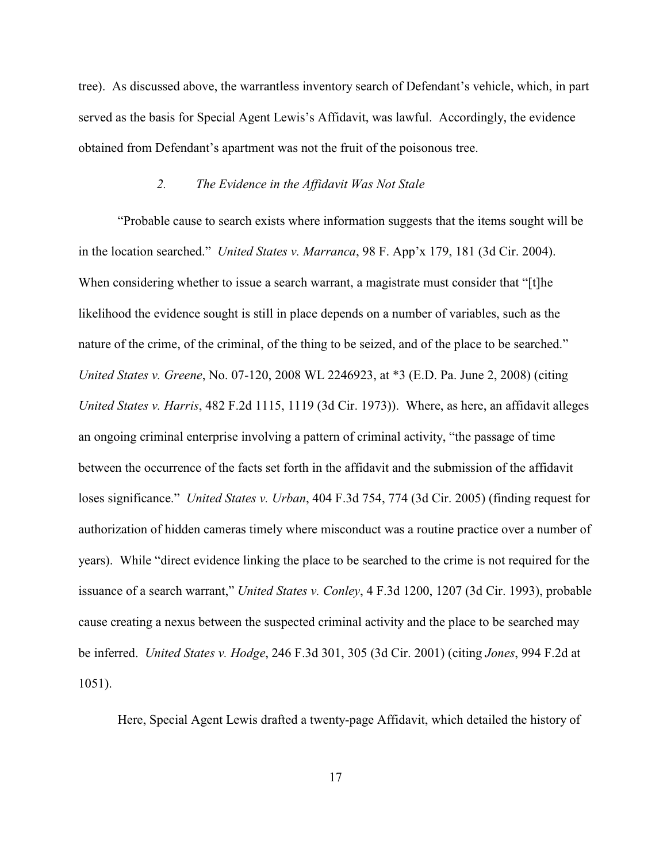tree). As discussed above, the warrantless inventory search of Defendant's vehicle, which, in part served as the basis for Special Agent Lewis's Affidavit, was lawful. Accordingly, the evidence obtained from Defendant's apartment was not the fruit of the poisonous tree.

#### *2. The Evidence in the Affidavit Was Not Stale*

"Probable cause to search exists where information suggests that the items sought will be in the location searched." *United States v. Marranca*, 98 F. App'x 179, 181 (3d Cir. 2004). When considering whether to issue a search warrant, a magistrate must consider that "[t]he likelihood the evidence sought is still in place depends on a number of variables, such as the nature of the crime, of the criminal, of the thing to be seized, and of the place to be searched." *United States v. Greene*, No. 07-120, 2008 WL 2246923, at \*3 (E.D. Pa. June 2, 2008) (citing *United States v. Harris*, 482 F.2d 1115, 1119 (3d Cir. 1973)). Where, as here, an affidavit alleges an ongoing criminal enterprise involving a pattern of criminal activity, "the passage of time between the occurrence of the facts set forth in the affidavit and the submission of the affidavit loses significance." *United States v. Urban*, 404 F.3d 754, 774 (3d Cir. 2005) (finding request for authorization of hidden cameras timely where misconduct was a routine practice over a number of years). While "direct evidence linking the place to be searched to the crime is not required for the issuance of a search warrant," *United States v. Conley*, 4 F.3d 1200, 1207 (3d Cir. 1993), probable cause creating a nexus between the suspected criminal activity and the place to be searched may be inferred. *United States v. Hodge*, 246 F.3d 301, 305 (3d Cir. 2001) (citing *Jones*, 994 F.2d at 1051).

Here, Special Agent Lewis drafted a twenty-page Affidavit, which detailed the history of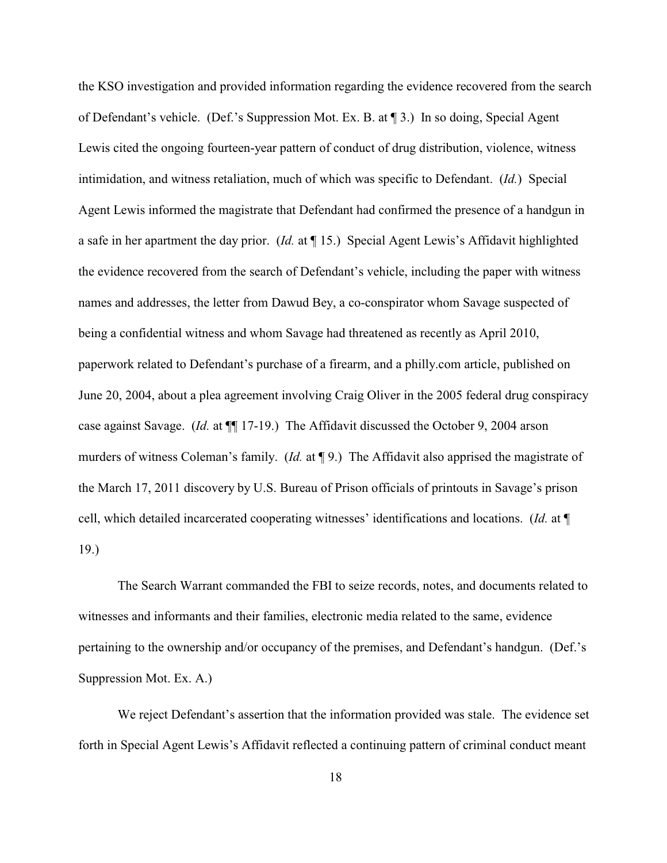the KSO investigation and provided information regarding the evidence recovered from the search of Defendant's vehicle. (Def.'s Suppression Mot. Ex. B. at ¶ 3.) In so doing, Special Agent Lewis cited the ongoing fourteen-year pattern of conduct of drug distribution, violence, witness intimidation, and witness retaliation, much of which was specific to Defendant. (*Id.*) Special Agent Lewis informed the magistrate that Defendant had confirmed the presence of a handgun in a safe in her apartment the day prior. (*Id.* at ¶ 15.) Special Agent Lewis's Affidavit highlighted the evidence recovered from the search of Defendant's vehicle, including the paper with witness names and addresses, the letter from Dawud Bey, a co-conspirator whom Savage suspected of being a confidential witness and whom Savage had threatened as recently as April 2010, paperwork related to Defendant's purchase of a firearm, and a philly.com article, published on June 20, 2004, about a plea agreement involving Craig Oliver in the 2005 federal drug conspiracy case against Savage. (*Id.* at ¶¶ 17-19.) The Affidavit discussed the October 9, 2004 arson murders of witness Coleman's family. (*Id.* at ¶ 9.) The Affidavit also apprised the magistrate of the March 17, 2011 discovery by U.S. Bureau of Prison officials of printouts in Savage's prison cell, which detailed incarcerated cooperating witnesses' identifications and locations. (*Id.* at ¶ 19.)

The Search Warrant commanded the FBI to seize records, notes, and documents related to witnesses and informants and their families, electronic media related to the same, evidence pertaining to the ownership and/or occupancy of the premises, and Defendant's handgun. (Def.'s Suppression Mot. Ex. A.)

We reject Defendant's assertion that the information provided was stale. The evidence set forth in Special Agent Lewis's Affidavit reflected a continuing pattern of criminal conduct meant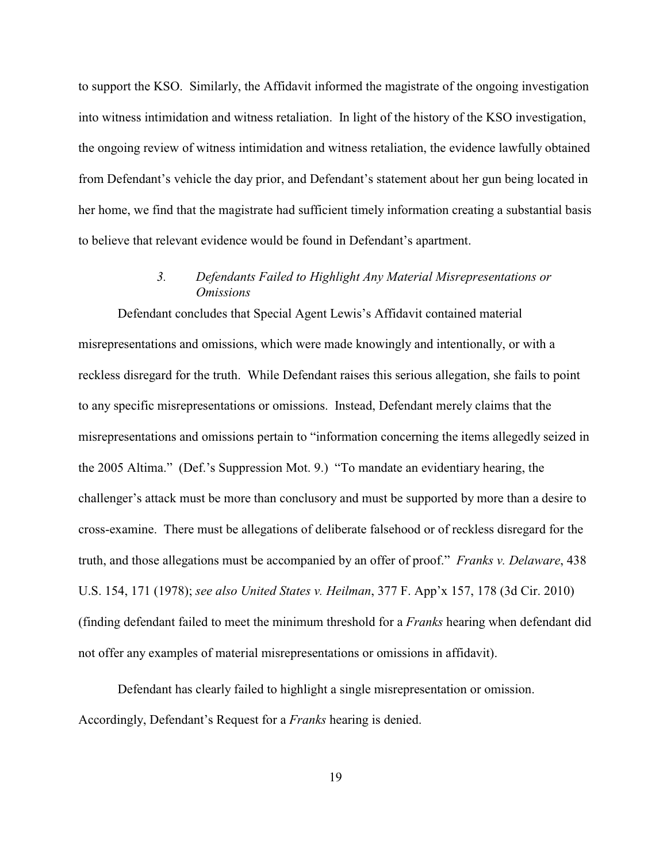to support the KSO. Similarly, the Affidavit informed the magistrate of the ongoing investigation into witness intimidation and witness retaliation. In light of the history of the KSO investigation, the ongoing review of witness intimidation and witness retaliation, the evidence lawfully obtained from Defendant's vehicle the day prior, and Defendant's statement about her gun being located in her home, we find that the magistrate had sufficient timely information creating a substantial basis to believe that relevant evidence would be found in Defendant's apartment.

## *3. Defendants Failed to Highlight Any Material Misrepresentations or Omissions*

Defendant concludes that Special Agent Lewis's Affidavit contained material misrepresentations and omissions, which were made knowingly and intentionally, or with a reckless disregard for the truth. While Defendant raises this serious allegation, she fails to point to any specific misrepresentations or omissions. Instead, Defendant merely claims that the misrepresentations and omissions pertain to "information concerning the items allegedly seized in the 2005 Altima." (Def.'s Suppression Mot. 9.) "To mandate an evidentiary hearing, the challenger's attack must be more than conclusory and must be supported by more than a desire to cross-examine. There must be allegations of deliberate falsehood or of reckless disregard for the truth, and those allegations must be accompanied by an offer of proof." *Franks v. Delaware*, 438 U.S. 154, 171 (1978); *see also United States v. Heilman*, 377 F. App'x 157, 178 (3d Cir. 2010) (finding defendant failed to meet the minimum threshold for a *Franks* hearing when defendant did not offer any examples of material misrepresentations or omissions in affidavit).

Defendant has clearly failed to highlight a single misrepresentation or omission. Accordingly, Defendant's Request for a *Franks* hearing is denied.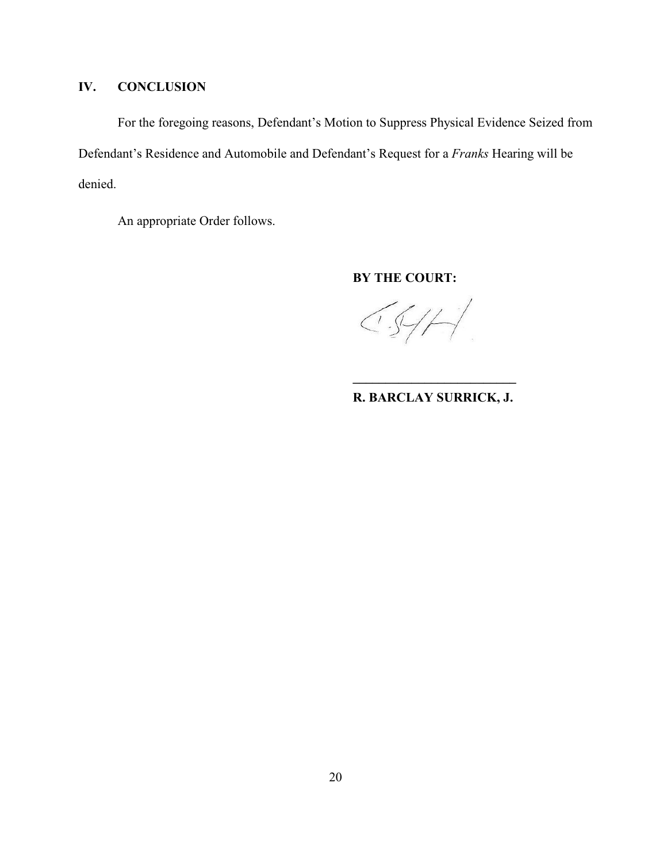# **IV. CONCLUSION**

For the foregoing reasons, Defendant's Motion to Suppress Physical Evidence Seized from Defendant's Residence and Automobile and Defendant's Request for a *Franks* Hearing will be denied.

An appropriate Order follows.

**BY THE COURT:**

 $CS/H$ 

**\_\_\_\_\_\_\_\_\_\_\_\_\_\_\_\_\_\_\_\_\_\_\_\_\_ R. BARCLAY SURRICK, J.**